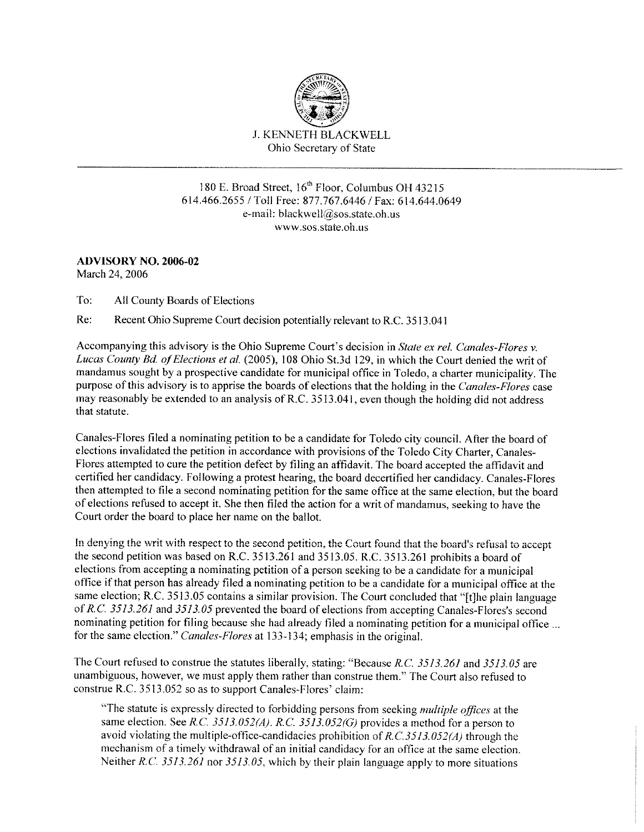

180 E. Broad Street, 16<sup>th</sup> Floor, Columbus OH 43215 614.466.2655 *I* Toll Free: 877.767.6446 / Fax: 614.644.0649 e-mail: blackwell@sos.state.oh.us www.sos.state.oh.us

## **ADVISORY NO. 2006-02**  March 24, 2006

To: All County Boards of Elections

Re: Recent Ohio Supreme Court decision potentially relevant to R.C. 3513.041

Accompanying this advisory is the Ohio Supreme Court's decision in *State ex rel. Canales-Flores v. Lucas County Bd ofElections et al.* (2005), 108 Ohio St.3d 129, in which the Court denied the writ of mandamus sought by a prospective candidate for municipal office in Toledo, a charter municipality. The purpose ofthis advisory is to apprise the boards of elections that the holding in the *Canales-Flores* case may reasonably be extended to an analysis of R.C.3513.041, even though the holding did not address that statute.

Canales-Flores filed a nominating petition to be a candidate for Toledo city council. After the board of elections invalidated the petition in accordance with provisions of the Toledo City Charter, Canales-Flores attempted to cure the petition defect by filing an affidavit. The board accepted the affidavit and certified her candidacy. Following a protest hearing, the board decertified her candidacy. Canales-Flores then attempted to file a second nominating petition for the same office at the same election, but the board of elections refused to accept it. She then filed the action for a writ of mandamus, seeking to have the Court order the board to place her name on the ballot.

In denying the writ with respect to the second petition, the Court found that the board's refusal to accept the second petition was based on R.C. 3513.261 and 3513.05. R.C. 3513.261 prohibits a board of elections from accepting a nominating petition of a person seeking to be a candidate for a municipal office if that person has already filed a nominating petition to be a candidate for a municipal office at the same election; R.C. 3513.05 contains a similar provision. The Court concluded that "[t]he plain language of *R.C. 3513.261* and *3513. 05* prevented the board of elections from accepting Canales-Flores's second nominating petition for filing because she had already filed a nominating petition for a municipal office ... for the same election." *Canales-Flores* at 133-134; emphasis in the original.

The Court refused to construe the statutes liberally, stating: "Because *R.C. 3513.261* and *3513.05* are unambiguous, however, we must apply them rather than construe them." The Court also refused to construe R.C.3513.052 so as to support Canales-Flores' claim:

"The statute is expressly directed to forbidding persons from seeking *multiple offices* at the same election. See *R.C. 3513.052(A). R.C. 3513.052(G)* provides a method for a person to avoid violating the multiple-office-candidacies prohibition of *R.C.3513. 052(AJ* through the mechanism of a timely withdrawal of an initial candidacy for an office at the same election. Neither *R.C. 3513.261* nor *3513.05,* which by their plain language apply to more situations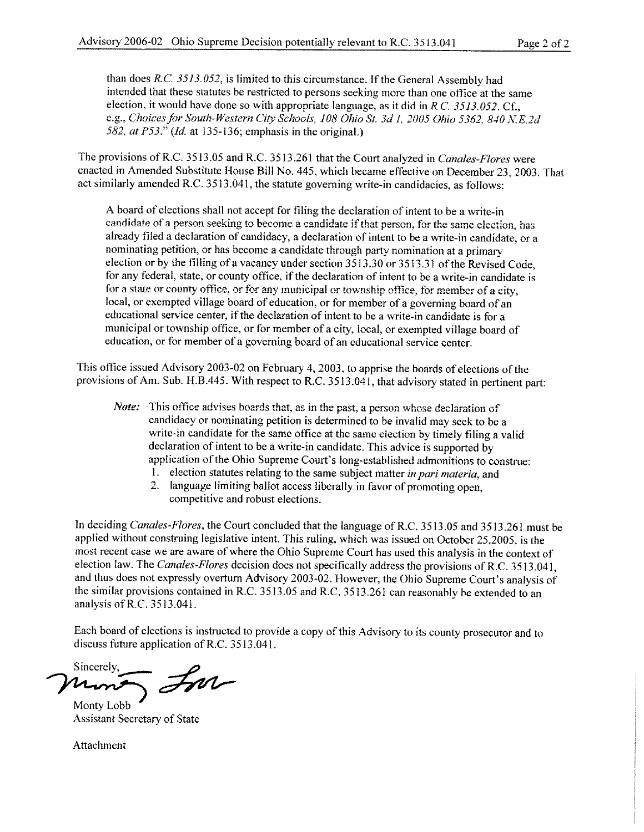than does *R.C 3513.052,* is limited to this circumstance. If the General Assembly had intended that these statutes be restricted to persons seeking more than one office at the same election, it would have done so with appropriate language, as it did in RC *3513.052.* Cf., e.g., *Choices for South-Western City Schools, I 08 Ohio St. 3d 1, 2005 Ohio 5362, 840 NE.2d 582, at P53." (Id.* at 135-136; emphasis in the original.)

The provisions ofR.C. 3513.05 and R.C. 3513.261 that the Court analyzed in *Canales-Flores* were enacted in Amended Substitute House Bill No. 445, which became effective on December 23, 2003. That act similarly amended R.C. 3513.041, the statute governing write-in candidacies, as follows:

A board of elections shall not accept for filing the declaration of intent to be a write-in candidate of a person seeking to become a candidate if that person, for the same election, has already filed a declaration of candidacy, a declaration of intent to be a write-in candidate, or a nominating petition, or has become a candidate through party nomination at a primary election or by the filling of a vacancy under section 3513.30 or 3513.3 l ofthe Revised Code, for any federal, state, or county office, if the declaration of intent to be a write-in candidate is for a state or county office, or for any municipal or township office, for member of a city, local, or exempted village board of education, or for member of a governing board of an educational service center, if the declaration of intent to be a write-in candidate is for a municipal or township office, or for member of a city, local, or exempted village board of education, or for member of a governing board of an educational service center.

This office issued Advisory 2003-02 on February 4, 2003, to apprise the boards of elections of the provisions of Am. Sub. H.B.445. With respect to R.C. 3513.04 l, that advisory stated in pertinent part:

- *Note:* This office advises boards that, as in the past, a person whose declaration of candidacy or nominating petition is determined to be invalid may seek to be a write-in candidate for the same office at the same election by timely filing a valid declaration of intent to be a write-in candidate. This advice is supported by application of the Ohio Supreme Court's long-established admonitions to construe:
	- l. election statutes relating to the same subject matter *in pari materia,* and
	- 2. language limiting ballot access liberally in favor of promoting open, competitive and robust elections.

In deciding *Canales-Flores,* the Court concluded that the language of R.C. 3513.05 and 3513.26 l must be applied without construing legislative intent. This ruling, which was issued on October 25,2005, is the most recent case we are aware of where the Ohio Supreme Court has used this analysis in the context of election law. The *Canales-Flores* decision does not specifically address the provisions of R,C, 3513.041, and thus does not expressly overturn Advisory 2003-02. However, the Ohio Supreme Court's analysis of the similar provisions contained in R.C. 3513.05 and R.C. 3513.261 can reasonably be extended to an analysis ofR.C. 3513.041.

Each board of elections is instructed to provide a copy of this Advisory to its county prosecutor and to discuss future application of R.C. 3513.041.<br>
Sincerely,<br>
Monty Lobb discuss future application of R.C. 3513.041.

Assistant Secretary of State

Attachment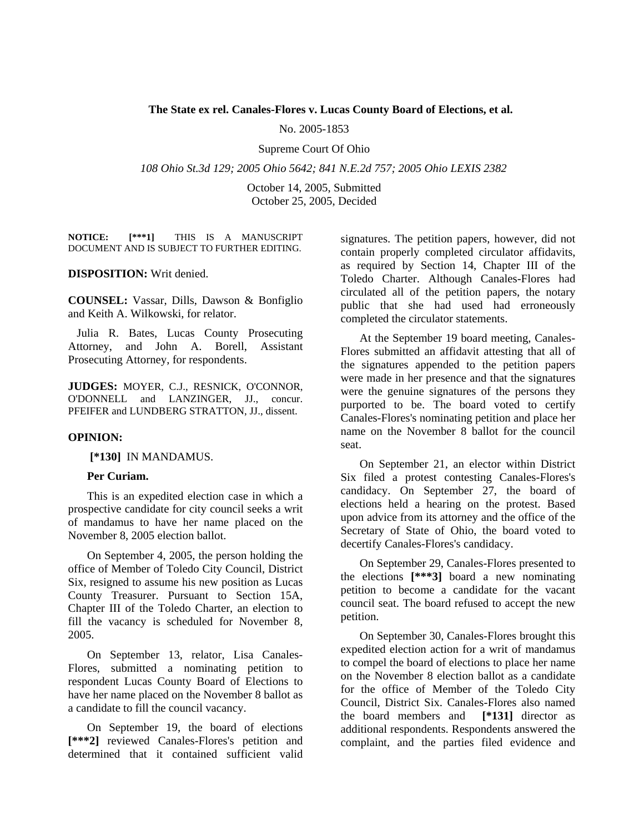### **The State ex rel. Canales-Flores v. Lucas County Board of Elections, et al.**

No. 2005-1853

Supreme Court Of Ohio.

*108 Ohio St.3d 129; 2005 Ohio 5642; 841 N.E.2d 757; 2005 Ohio LEXIS 2382* 

October 14, 2005, Submitted October 25, 2005, Decided

**NOTICE: [\*\*\*1]** THIS IS A MANUSCRIPT DOCUMENT AND IS SUBJECT TO FURTHER EDITING.

#### **DISPOSITION:** Writ denied.

**COUNSEL:** Vassar, Dills, Dawson & Bonfiglio and Keith A. Wilkowski, for relator.

Julia R. Bates, Lucas County Prosecuting Attorney, and John A. Borell, Assistant Prosecuting Attorney, for respondents.

**JUDGES:** MOYER, C.J., RESNICK, O'CONNOR, O'DONNELL and LANZINGER, JJ., concur. PFEIFER and LUNDBERG STRATTON, JJ., dissent.

### **OPINION:**

**[\*130]** IN MANDAMUS.

#### **Per Curiam.**

This is an expedited election case in which a prospective candidate for city council seeks a writ of mandamus to have her name placed on the November 8, 2005 election ballot.

On September 4, 2005, the person holding the office of Member of Toledo City Council, District Six, resigned to assume his new position as Lucas County Treasurer. Pursuant to Section 15A, Chapter III of the Toledo Charter, an election to fill the vacancy is scheduled for November 8, 2005.

On September 13, relator, Lisa Canales-Flores, submitted a nominating petition to respondent Lucas County Board of Elections to have her name placed on the November 8 ballot as a candidate to fill the council vacancy.

On September 19, the board of elections **[\*\*\*2]** reviewed Canales-Flores's petition and determined that it contained sufficient valid signatures. The petition papers, however, did not contain properly completed circulator affidavits, as required by Section 14, Chapter III of the Toledo Charter. Although Canales-Flores had circulated all of the petition papers, the notary public that she had used had erroneously completed the circulator statements.

At the September 19 board meeting, Canales-Flores submitted an affidavit attesting that all of the signatures appended to the petition papers were made in her presence and that the signatures were the genuine signatures of the persons they purported to be. The board voted to certify Canales-Flores's nominating petition and place her name on the November 8 ballot for the council seat.

On September 21, an elector within District Six filed a protest contesting Canales-Flores's candidacy. On September 27, the board of elections held a hearing on the protest. Based upon advice from its attorney and the office of the Secretary of State of Ohio, the board voted to decertify Canales-Flores's candidacy.

On September 29, Canales-Flores presented to the elections **[\*\*\*3]** board a new nominating petition to become a candidate for the vacant council seat. The board refused to accept the new petition.

On September 30, Canales-Flores brought this expedited election action for a writ of mandamus to compel the board of elections to place her name on the November 8 election ballot as a candidate for the office of Member of the Toledo City Council, District Six. Canales-Flores also named the board members and **[\*131]** director as additional respondents. Respondents answered the complaint, and the parties filed evidence and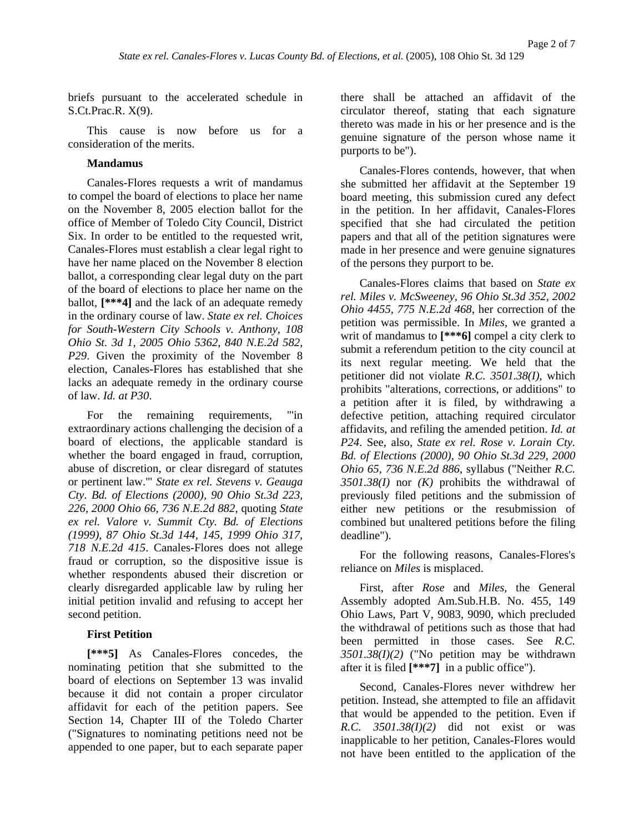S.Ct.Prac.R. X(9).

This cause is now before us for a consideration of the merits.

# **Mandamus**

Canales-Flores requests a writ of mandamus to compel the board of elections to place her name on the November 8, 2005 election ballot for the office of Member of Toledo City Council, District Six. In order to be entitled to the requested writ, Canales-Flores must establish a clear legal right to have her name placed on the November 8 election ballot, a corresponding clear legal duty on the part of the board of elections to place her name on the ballot, **[\*\*\*4]** and the lack of an adequate remedy in the ordinary course of law. *State ex rel. Choices for South-Western City Schools v. Anthony, 108 Ohio St. 3d 1, 2005 Ohio 5362, 840 N.E.2d 582, P29*. Given the proximity of the November 8 election, Canales-Flores has established that she lacks an adequate remedy in the ordinary course of law. *Id. at P30*.

For the remaining requirements, "'in extraordinary actions challenging the decision of a board of elections, the applicable standard is whether the board engaged in fraud, corruption, abuse of discretion, or clear disregard of statutes or pertinent law.'" *State ex rel. Stevens v. Geauga Cty. Bd. of Elections (2000), 90 Ohio St.3d 223, 226, 2000 Ohio 66, 736 N.E.2d 882*, quoting *State ex rel. Valore v. Summit Cty. Bd. of Elections (1999), 87 Ohio St.3d 144, 145, 1999 Ohio 317, 718 N.E.2d 415*. Canales-Flores does not allege fraud or corruption, so the dispositive issue is whether respondents abused their discretion or clearly disregarded applicable law by ruling her initial petition invalid and refusing to accept her second petition.

# **First Petition**

**[\*\*\*5]** As Canales-Flores concedes, the nominating petition that she submitted to the board of elections on September 13 was invalid because it did not contain a proper circulator affidavit for each of the petition papers. See Section 14, Chapter III of the Toledo Charter ("Signatures to nominating petitions need not be appended to one paper, but to each separate paper there shall be attached an affidavit of the circulator thereof, stating that each signature thereto was made in his or her presence and is the genuine signature of the person whose name it purports to be").

Canales-Flores contends, however, that when she submitted her affidavit at the September 19 board meeting, this submission cured any defect in the petition. In her affidavit, Canales-Flores specified that she had circulated the petition papers and that all of the petition signatures were made in her presence and were genuine signatures of the persons they purport to be.

Canales-Flores claims that based on *State ex rel. Miles v. McSweeney, 96 Ohio St.3d 352, 2002 Ohio 4455, 775 N.E.2d 468*, her correction of the petition was permissible. In *Miles,* we granted a writ of mandamus to **[\*\*\*6]** compel a city clerk to submit a referendum petition to the city council at its next regular meeting. We held that the petitioner did not violate *R.C. 3501.38(I)*, which prohibits "alterations, corrections, or additions" to a petition after it is filed, by withdrawing a defective petition, attaching required circulator affidavits, and refiling the amended petition. *Id. at P24*. See, also, *State ex rel. Rose v. Lorain Cty. Bd. of Elections (2000), 90 Ohio St.3d 229, 2000 Ohio 65, 736 N.E.2d 886*, syllabus ("Neither *R.C. 3501.38(I)* nor *(K)* prohibits the withdrawal of previously filed petitions and the submission of either new petitions or the resubmission of combined but unaltered petitions before the filing deadline").

For the following reasons, Canales-Flores's reliance on *Miles* is misplaced.

First, after *Rose* and *Miles,* the General Assembly adopted Am.Sub.H.B. No. 455, 149 Ohio Laws, Part V, 9083, 9090, which precluded the withdrawal of petitions such as those that had been permitted in those cases. See *R.C. 3501.38(I)(2)* ("No petition may be withdrawn after it is filed **[\*\*\*7]** in a public office").

Second, Canales-Flores never withdrew her petition. Instead, she attempted to file an affidavit that would be appended to the petition. Even if *R.C. 3501.38(I)(2)* did not exist or was inapplicable to her petition, Canales-Flores would not have been entitled to the application of the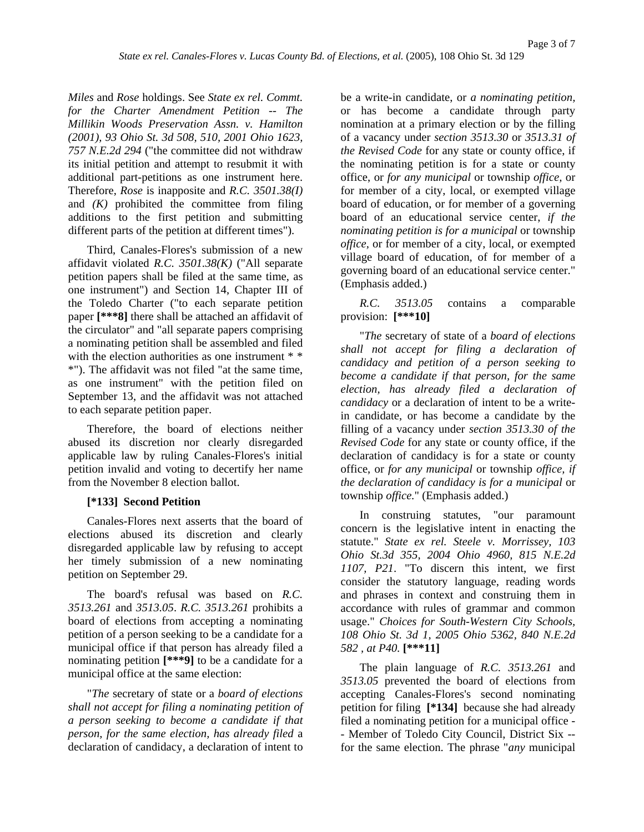Page 3 of 7

*Miles* and *Rose* holdings. See *State ex rel. Commt. for the Charter Amendment Petition -- The Millikin Woods Preservation Assn. v. Hamilton (2001), 93 Ohio St. 3d 508, 510, 2001 Ohio 1623, 757 N.E.2d 294* ("the committee did not withdraw its initial petition and attempt to resubmit it with additional part-petitions as one instrument here. Therefore, *Rose* is inapposite and *R.C. 3501.38(I)*  and  $(K)$  prohibited the committee from filing additions to the first petition and submitting different parts of the petition at different times").

Third, Canales-Flores's submission of a new affidavit violated *R.C. 3501.38(K)* ("All separate petition papers shall be filed at the same time, as one instrument") and Section 14, Chapter III of the Toledo Charter ("to each separate petition paper **[\*\*\*8]** there shall be attached an affidavit of the circulator" and "all separate papers comprising a nominating petition shall be assembled and filed with the election authorities as one instrument  $*$ \*"). The affidavit was not filed "at the same time, as one instrument" with the petition filed on September 13, and the affidavit was not attached to each separate petition paper.

Therefore, the board of elections neither abused its discretion nor clearly disregarded applicable law by ruling Canales-Flores's initial petition invalid and voting to decertify her name from the November 8 election ballot.

# **[\*133] Second Petition**

Canales-Flores next asserts that the board of elections abused its discretion and clearly disregarded applicable law by refusing to accept her timely submission of a new nominating petition on September 29.

The board's refusal was based on *R.C. 3513.261* and *3513.05*. *R.C. 3513.261* prohibits a board of elections from accepting a nominating petition of a person seeking to be a candidate for a municipal office if that person has already filed a nominating petition **[\*\*\*9]** to be a candidate for a municipal office at the same election:

"*The* secretary of state or a *board of elections shall not accept for filing a nominating petition of a person seeking to become a candidate if that person, for the same election, has already filed* a declaration of candidacy, a declaration of intent to

be a write-in candidate, or *a nominating petition,*  or has become a candidate through party nomination at a primary election or by the filling of a vacancy under *section 3513.30* or *3513.31 of the Revised Code* for any state or county office, if the nominating petition is for a state or county office, or *for any municipal* or township *office,* or for member of a city, local, or exempted village board of education, or for member of a governing board of an educational service center, *if the nominating petition is for a municipal* or township *office,* or for member of a city, local, or exempted village board of education, of for member of a governing board of an educational service center." (Emphasis added.)

 provision: **[\*\*\*10]**  *R.C. 3513.05* contains a comparable

"*The* secretary of state of a *board of elections shall not accept for filing a declaration of candidacy and petition of a person seeking to become a candidate if that person, for the same election, has already filed a declaration of candidacy* or a declaration of intent to be a writein candidate, or has become a candidate by the filling of a vacancy under *section 3513.30 of the Revised Code* for any state or county office, if the declaration of candidacy is for a state or county office, or *for any municipal* or township *office, if the declaration of candidacy is for a municipal* or township *office.*" (Emphasis added.)

 *582 , at P40.* **[\*\*\*11]** In construing statutes, "our paramount concern is the legislative intent in enacting the statute." *State ex rel. Steele v. Morrissey, 103 Ohio St.3d 355, 2004 Ohio 4960, 815 N.E.2d 1107, P21*. "To discern this intent, we first consider the statutory language, reading words and phrases in context and construing them in accordance with rules of grammar and common usage." *Choices for South-Western City Schools, 108 Ohio St. 3d 1, 2005 Ohio 5362, 840 N.E.2d* 

 petition for filing **[\*134]** because she had already The plain language of *R.C. 3513.261* and *3513.05* prevented the board of elections from accepting Canales-Flores's second nominating filed a nominating petition for a municipal office - - Member of Toledo City Council, District Six - for the same election. The phrase "*any* municipal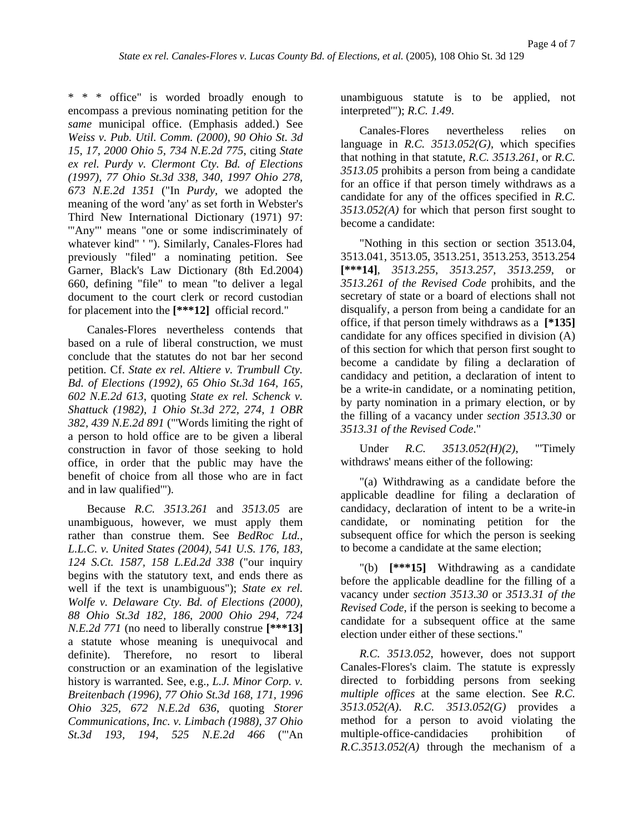encompass a previous nominating petition for the *same* municipal office. (Emphasis added.) See *Weiss v. Pub. Util. Comm. (2000), 90 Ohio St. 3d 15, 17, 2000 Ohio 5, 734 N.E.2d 775*, citing *State ex rel. Purdy v. Clermont Cty. Bd. of Elections (1997), 77 Ohio St.3d 338, 340, 1997 Ohio 278, 673 N.E.2d 1351* ("In *Purdy,* we adopted the meaning of the word 'any' as set forth in Webster's Third New International Dictionary (1971) 97: '"Any"' means "one or some indiscriminately of whatever kind" ' "). Similarly, Canales-Flores had previously "filed" a nominating petition. See Garner, Black's Law Dictionary (8th Ed.2004) 660, defining "file" to mean "to deliver a legal document to the court clerk or record custodian for placement into the **[\*\*\*12]** official record."

Canales-Flores nevertheless contends that based on a rule of liberal construction, we must conclude that the statutes do not bar her second petition. Cf. *State ex rel. Altiere v. Trumbull Cty. Bd. of Elections (1992), 65 Ohio St.3d 164, 165, 602 N.E.2d 613*, quoting *State ex rel. Schenck v. Shattuck (1982), 1 Ohio St.3d 272, 274, 1 OBR 382, 439 N.E.2d 891* ("'Words limiting the right of a person to hold office are to be given a liberal construction in favor of those seeking to hold office, in order that the public may have the benefit of choice from all those who are in fact and in law qualified'").

Because *R.C. 3513.261* and *3513.05* are unambiguous, however, we must apply them rather than construe them. See *BedRoc Ltd., L.L.C. v. United States (2004), 541 U.S. 176, 183, 124 S.Ct. 1587, 158 L.Ed.2d 338* ("our inquiry begins with the statutory text, and ends there as well if the text is unambiguous"); *State ex rel. Wolfe v. Delaware Cty. Bd. of Elections (2000), 88 Ohio St.3d 182, 186, 2000 Ohio 294, 724 N.E.2d 771* (no need to liberally construe **[\*\*\*13]**  a statute whose meaning is unequivocal and definite). Therefore, no resort to liberal construction or an examination of the legislative history is warranted. See, e.g., *L.J. Minor Corp. v. Breitenbach (1996), 77 Ohio St.3d 168, 171, 1996 Ohio 325, 672 N.E.2d 636*, quoting *Storer Communications, Inc. v. Limbach (1988), 37 Ohio St.3d 193, 194, 525 N.E.2d 466* ("'An unambiguous statute is to be applied, not interpreted'"); *R.C. 1.49*.

Canales-Flores nevertheless relies on language in *R.C. 3513.052(G)*, which specifies that nothing in that statute, *R.C. 3513.261*, or *R.C. 3513.05* prohibits a person from being a candidate for an office if that person timely withdraws as a candidate for any of the offices specified in *R.C. 3513.052(A)* for which that person first sought to become a candidate:

 office, if that person timely withdraws as a **[\*135]** "Nothing in this section or section 3513.04, 3513.041, 3513.05, 3513.251, 3513.253, 3513.254 **[\*\*\*14]**, *3513.255*, *3513.257*, *3513.259*, or *3513.261 of the Revised Code* prohibits, and the secretary of state or a board of elections shall not disqualify, a person from being a candidate for an candidate for any offices specified in division (A) of this section for which that person first sought to become a candidate by filing a declaration of candidacy and petition, a declaration of intent to be a write-in candidate, or a nominating petition, by party nomination in a primary election, or by the filling of a vacancy under *section 3513.30* or *3513.31 of the Revised Code*."

Under *R.C. 3513.052(H)(2)*, "'Timely withdraws' means either of the following:

"(a) Withdrawing as a candidate before the applicable deadline for filing a declaration of candidacy, declaration of intent to be a write-in candidate, or nominating petition for the subsequent office for which the person is seeking to become a candidate at the same election;

"(b) **[\*\*\*15]** Withdrawing as a candidate before the applicable deadline for the filling of a vacancy under *section 3513.30* or *3513.31 of the Revised Code*, if the person is seeking to become a candidate for a subsequent office at the same election under either of these sections."

*R.C. 3513.052*, however, does not support Canales-Flores's claim. The statute is expressly directed to forbidding persons from seeking *multiple offices* at the same election. See *R.C. 3513.052(A)*. *R.C. 3513.052(G)* provides a method for a person to avoid violating the multiple-office-candidacies prohibition of *R.C.3513.052(A)* through the mechanism of a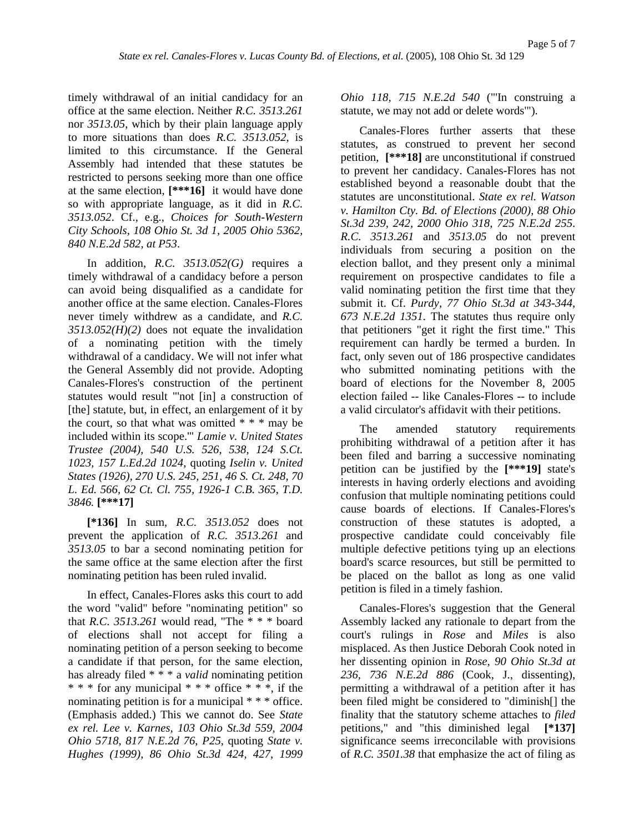Assembly had intended that these statutes be office at the same election. Neither *R.C. 3513.261*  nor *3513.05*, which by their plain language apply to more situations than does *R.C. 3513.052*, is limited to this circumstance. If the General restricted to persons seeking more than one office at the same election, **[\*\*\*16]** it would have done so with appropriate language, as it did in *R.C. 3513.052*. Cf., e.g., *Choices for South-Western City Schools, 108 Ohio St. 3d 1, 2005 Ohio 5362, 840 N.E.2d 582, at P53*.

3846. [\*\*\*17] In addition, *R.C. 3513.052(G)* requires a timely withdrawal of a candidacy before a person can avoid being disqualified as a candidate for another office at the same election. Canales-Flores never timely withdrew as a candidate, and *R.C. 3513.052(H)(2)* does not equate the invalidation of a nominating petition with the timely withdrawal of a candidacy. We will not infer what the General Assembly did not provide. Adopting Canales-Flores's construction of the pertinent statutes would result "'not [in] a construction of [the] statute, but, in effect, an enlargement of it by the court, so that what was omitted  $* * *$  may be included within its scope.'" *Lamie v. United States Trustee (2004), 540 U.S. 526, 538, 124 S.Ct. 1023, 157 L.Ed.2d 1024*, quoting *Iselin v. United States (1926), 270 U.S. 245, 251, 46 S. Ct. 248, 70 L. Ed. 566, 62 Ct. Cl. 755, 1926-1 C.B. 365, T.D.* 

*3846.* **[\*\*\*17] [\*136]** In sum, *R.C. 3513.052* does not prevent the application of *R.C. 3513.261* and *3513.05* to bar a second nominating petition for the same office at the same election after the first nominating petition has been ruled invalid.

In effect, Canales-Flores asks this court to add the word "valid" before "nominating petition" so that *R.C. 3513.261* would read, "The \* \* \* board of elections shall not accept for filing a nominating petition of a person seeking to become a candidate if that person, for the same election, has already filed \* \* \* a *valid* nominating petition \* \* \* for any municipal \* \* \* office \* \* \*, if the nominating petition is for a municipal \* \* \* office. (Emphasis added.) This we cannot do. See *State ex rel. Lee v. Karnes, 103 Ohio St.3d 559, 2004 Ohio 5718, 817 N.E.2d 76, P25*, quoting *State v. Hughes (1999), 86 Ohio St.3d 424, 427, 1999*  *Ohio 118, 715 N.E.2d 540* ("'In construing a statute, we may not add or delete words'").

 election ballot, and they present only a minimal Canales-Flores further asserts that these statutes, as construed to prevent her second petition, **[\*\*\*18]** are unconstitutional if construed to prevent her candidacy. Canales-Flores has not established beyond a reasonable doubt that the statutes are unconstitutional. *State ex rel. Watson v. Hamilton Cty. Bd. of Elections (2000), 88 Ohio St.3d 239, 242, 2000 Ohio 318, 725 N.E.2d 255*. *R.C. 3513.261* and *3513.05* do not prevent individuals from securing a position on the requirement on prospective candidates to file a valid nominating petition the first time that they submit it. Cf. *Purdy, 77 Ohio St.3d at 343-344, 673 N.E.2d 1351*. The statutes thus require only that petitioners "get it right the first time." This requirement can hardly be termed a burden. In fact, only seven out of 186 prospective candidates who submitted nominating petitions with the board of elections for the November 8, 2005 election failed -- like Canales-Flores -- to include a valid circulator's affidavit with their petitions.

The amended statutory requirements prohibiting withdrawal of a petition after it has been filed and barring a successive nominating petition can be justified by the **[\*\*\*19]** state's interests in having orderly elections and avoiding confusion that multiple nominating petitions could cause boards of elections. If Canales-Flores's construction of these statutes is adopted, a prospective candidate could conceivably file multiple defective petitions tying up an elections board's scarce resources, but still be permitted to be placed on the ballot as long as one valid petition is filed in a timely fashion.

 petitions," and "this diminished legal **[\*137]** Canales-Flores's suggestion that the General Assembly lacked any rationale to depart from the court's rulings in *Rose* and *Miles* is also misplaced. As then Justice Deborah Cook noted in her dissenting opinion in *Rose, 90 Ohio St.3d at 236, 736 N.E.2d 886* (Cook, J., dissenting), permitting a withdrawal of a petition after it has been filed might be considered to "diminish[] the finality that the statutory scheme attaches to *filed*  significance seems irreconcilable with provisions of *R.C. 3501.38* that emphasize the act of filing as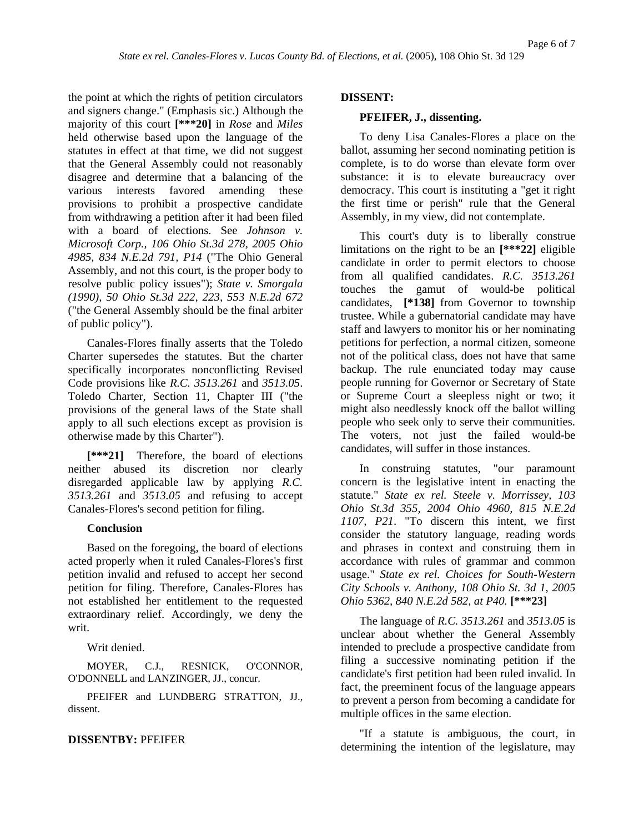and signers change." (Emphasis sic.) Although the majority of this court **[\*\*\*20]** in *Rose* and *Miles*  held otherwise based upon the language of the statutes in effect at that time, we did not suggest that the General Assembly could not reasonably disagree and determine that a balancing of the various interests favored amending these provisions to prohibit a prospective candidate from withdrawing a petition after it had been filed with a board of elections. See *Johnson v. Microsoft Corp., 106 Ohio St.3d 278, 2005 Ohio 4985, 834 N.E.2d 791, P14* ("The Ohio General Assembly, and not this court, is the proper body to resolve public policy issues"); *State v. Smorgala (1990), 50 Ohio St.3d 222, 223, 553 N.E.2d 672*  ("the General Assembly should be the final arbiter of public policy").

Canales-Flores finally asserts that the Toledo Charter supersedes the statutes. But the charter specifically incorporates nonconflicting Revised Code provisions like *R.C. 3513.261* and *3513.05*. Toledo Charter, Section 11, Chapter III ("the provisions of the general laws of the State shall apply to all such elections except as provision is otherwise made by this Charter").

**[\*\*\*21]** Therefore, the board of elections neither abused its discretion nor clearly disregarded applicable law by applying *R.C. 3513.261* and *3513.05* and refusing to accept Canales-Flores's second petition for filing.

### **Conclusion**

Based on the foregoing, the board of elections acted properly when it ruled Canales-Flores's first petition invalid and refused to accept her second petition for filing. Therefore, Canales-Flores has not established her entitlement to the requested extraordinary relief. Accordingly, we deny the writ.

Writ denied.

MOYER, C.J., RESNICK, O'CONNOR, O'DONNELL and LANZINGER, JJ., concur.

PFEIFER and LUNDBERG STRATTON, JJ., dissent.

### **DISSENTBY:** PFEIFER

### **DISSENT:**

#### **PFEIFER, J., dissenting.**

To deny Lisa Canales-Flores a place on the ballot, assuming her second nominating petition is complete, is to do worse than elevate form over substance: it is to elevate bureaucracy over democracy. This court is instituting a "get it right the first time or perish" rule that the General Assembly, in my view, did not contemplate.

This court's duty is to liberally construe limitations on the right to be an **[\*\*\*22]** eligible candidate in order to permit electors to choose from all qualified candidates. *R.C. 3513.261*  touches the gamut of would-be political candidates, **[\*138]** from Governor to township trustee. While a gubernatorial candidate may have staff and lawyers to monitor his or her nominating petitions for perfection, a normal citizen, someone not of the political class, does not have that same backup. The rule enunciated today may cause people running for Governor or Secretary of State or Supreme Court a sleepless night or two; it might also needlessly knock off the ballot willing people who seek only to serve their communities. The voters, not just the failed would-be candidates, will suffer in those instances.

 *Ohio 5362, 840 N.E.2d 582, at P40.* **[\*\*\*23]** In construing statutes, "our paramount concern is the legislative intent in enacting the statute." *State ex rel. Steele v. Morrissey, 103 Ohio St.3d 355, 2004 Ohio 4960, 815 N.E.2d 1107, P21*. "To discern this intent, we first consider the statutory language, reading words and phrases in context and construing them in accordance with rules of grammar and common usage." *State ex rel. Choices for South-Western City Schools v. Anthony, 108 Ohio St. 3d 1, 2005* 

The language of *R.C. 3513.261* and *3513.05* is unclear about whether the General Assembly intended to preclude a prospective candidate from filing a successive nominating petition if the candidate's first petition had been ruled invalid. In fact, the preeminent focus of the language appears to prevent a person from becoming a candidate for multiple offices in the same election.

"If a statute is ambiguous, the court, in determining the intention of the legislature, may